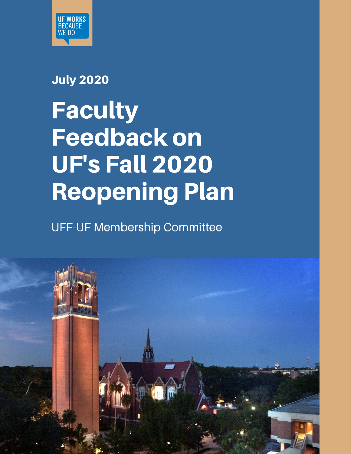

### July 2020

# Faculty Feedback on UF's Fall 2020 Reopening Plan

UFF-UF Membership Committee

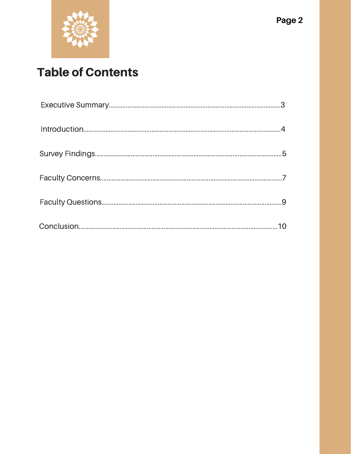

# **Table of Contents**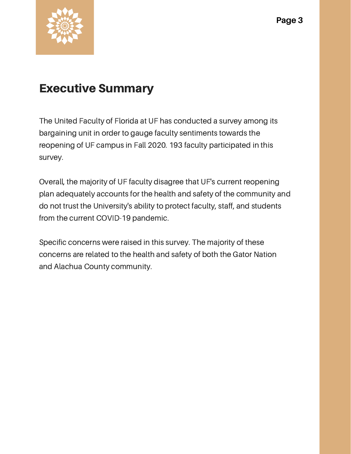

### Executive Summary

The United Faculty of Florida at UF has conducted a survey among its bargaining unit in order to gauge faculty sentiments towards the reopening of UF campus in Fall 2020. 193 faculty participated in this survey.

Overall, the majority of UF faculty disagree that UF's current reopening plan adequately accounts for the health and safety of the community and do not trust the University's ability to protect faculty, staff, and students from the current COVID-19 pandemic.

Specific concerns were raised in this survey. The majority of these concerns are related to the health and safety of both the Gator Nation and Alachua County community.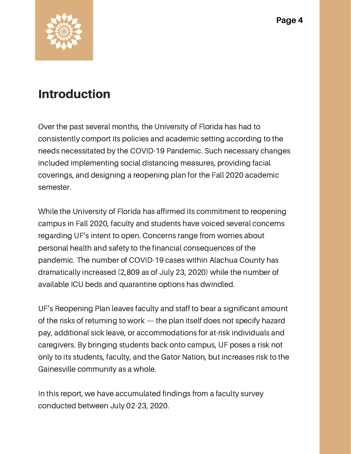

### Introduction

Over the past several months, the University of Florida has had to consistently comport its policies and academic setting according to the needs necessitated by the COVID-19 Pandemic. Such necessary changes included implementing social distancing measures, providing facial coverings, and designing a reopening plan for the Fall 2020 academic semester.

While the University of Florida has affirmed its commitment to reopening campus in Fall 2020, faculty and students have voiced several concerns regarding UF's intent to open. Concerns range from worries about personal health and safety to the financial consequences of the pandemic. The number of COVID-19 cases within Alachua County has dramatically increased (2,809 as of July 23, 2020) while the number of available ICU beds and quarantine options has dwindled.

UF's Reopening Plan leaves faculty and staff to bear a significant amount of the risks of returning to work — the plan itself does not specify hazard pay, additional sick leave, or accommodations for at-risk individuals and caregivers. By bringing students back onto campus, UF poses a risk not only to its students, faculty, and the Gator Nation, but increases risk to the Gainesville community as a whole.

In this report, we have accumulated findings from a faculty survey conducted between July 02-23, 2020.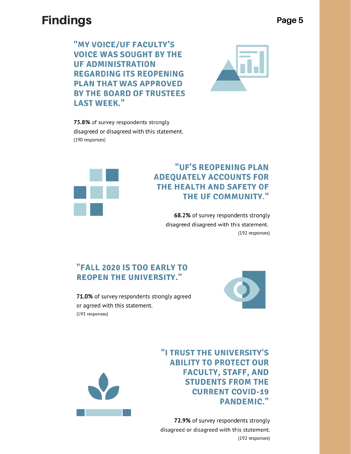### **Findings**

"MY VOICE/UF FACULTY'S **VOICE WAS SOUGHT BY THE UF ADMINISTRATION REGARDING ITS REOPENING PLAN THAT WAS APPROVED BY THE BOARD OF TRUSTEES LAST WEEK."** 



75.8% of survey respondents strongly disagreed or disagreed with this statement. (190 responses)



#### "UF'S REOPENING PLAN **ADEQUATELY ACCOUNTS FOR** THE HEALTH AND SAFETY OF THE UF COMMUNITY."

68.2% of survey respondents strongly disagreed disagreed with this statement. (192 responses)

#### "FALL 2020 IS TOO EARLY TO **REOPEN THE UNIVERSITY."**

71.0% of survey respondents strongly agreed or agreed with this statement. (193 responses)





"I TRUST THE UNIVERSITY'S **ABILITY TO PROTECT OUR FACULTY, STAFF, AND STUDENTS FROM THE CURRENT COVID-19 PANDEMIC."** 

72.9% of survey respondents strongly disagreed or disagreed with this statement. (192 responses)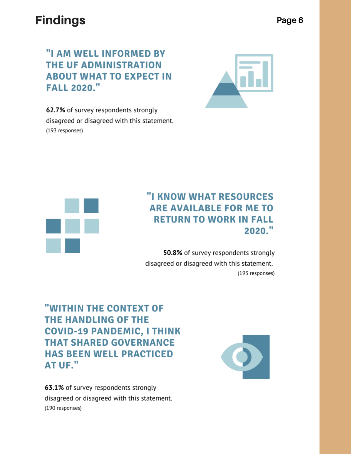### **Findings**

"I AM WELL INFORMED BY THE UF ADMINISTRATION **ABOUT WHAT TO EXPECT IN FALL 2020."** 



62.7% of survey respondents strongly disagreed or disagreed with this statement. (193 responses)



#### "I KNOW WHAT RESOURCES **ARE AVAILABLE FOR ME TO RETURN TO WORK IN FALL** 2020."

50.8% of survey respondents strongly disagreed or disagreed with this statement. (193 responses)

"WITHIN THE CONTEXT OF **THE HANDLING OF THE COVID-19 PANDEMIC, I THINK THAT SHARED GOVERNANCE HAS BEEN WELL PRACTICED AT UF."** 

63.1% of survey respondents strongly disagreed or disagreed with this statement. (190 responses)

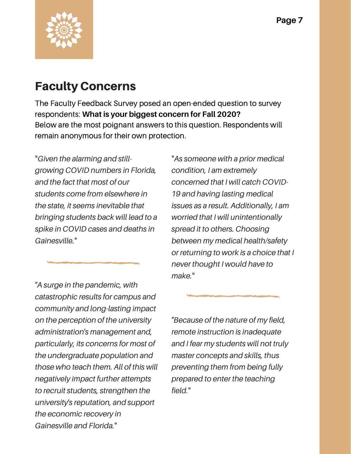

### Faculty Concerns

The Faculty Feedback Survey posed an open-ended question to survey respondents: **What is your biggest concern for Fall 2020?** Below are the most poignant answers to this question. Respondents will remain anonymous for their own protection.

"*Given the alarming and stillgrowing COVID numbers in Florida, and the fact that most of our students come from elsewhere in the state, it seems inevitable that bringing students back will lead to a spike in COVID cases and deaths in Gainesville.*"

*"A surge in the pandemic, with catastrophic results for campus and community and long-lasting impact on the perception of the university administration's management and, particularly, its concerns for most of the undergraduate population and those who teach them. All of this will negatively impact further attempts to recruit students, strengthen the university's reputation, and support the economic recovery in Gainesville and Florida."*

"*As someone with a prior medical condition, I am extremely concerned that I will catch COVID-19 and having lasting medical issues as a result. Additionally, I am worried that I will unintentionally spread it to others. Choosing between my medical health/safety or returning to work is a choice that I never thought I would have to make.*"

*"Because of the nature of my field, remote instruction is inadequate and I fear my students will not truly master concepts and skills, thus preventing them from being fully prepared to enter the teaching field*."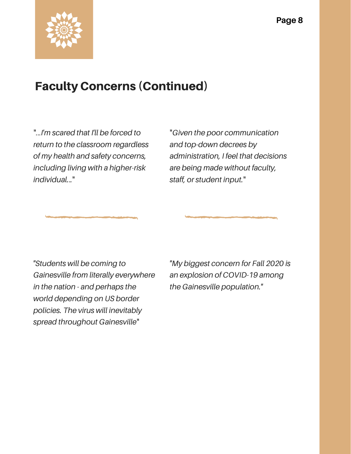

### Faculty Concerns (Continued)

"...*I'm scared that I'll be forced to return to the classroom regardless of my health and safety concerns, including living with a higher-risk individual.*.*.*"

"*Given the poor communication and top-down decrees by administration, I feel that decisions are being made without faculty, staff, or student input.*"

*"Students will be coming to Gainesville from literally everywhere in the nation - and perhaps the world depending on US border policies. The virus will inevitably spread throughout Gainesville*"

*"My biggest concern for Fall 2020 is an explosion of COVID-19 among the Gainesville population."*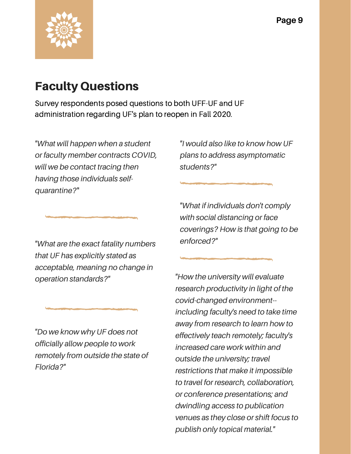

### Faculty Questions

Survey respondents posed questions to both UFF-UF and UF administration regarding UF's plan to reopen in Fall 2020.

*"What will happen when a student or faculty member contracts COVID, will we be contact tracing then having those individuals selfquarantine?*"

*"I would also like to know how UF plans to address asymptomatic students?"*

*"What if individuals don't comply*

*with social distancing or face coverings? How is that going to be enforced?"*

*"What are the exact fatality numbers that UF has explicitly stated as acceptable, meaning no change in operation standards?"*

*"Do we know why UF does not officially allow people to work remotely from outside the state of Florida?"*

*"How the university will evaluate research productivity in light of the covid-changed environment- including faculty's need to take time away from research to learn how to effectively teach remotely; faculty's increased care work within and outside the university; travel restrictions that make it impossible to travel for research, collaboration, or conference presentations; and dwindling access to publication venues as they close or shift focus to publish only topical material."*